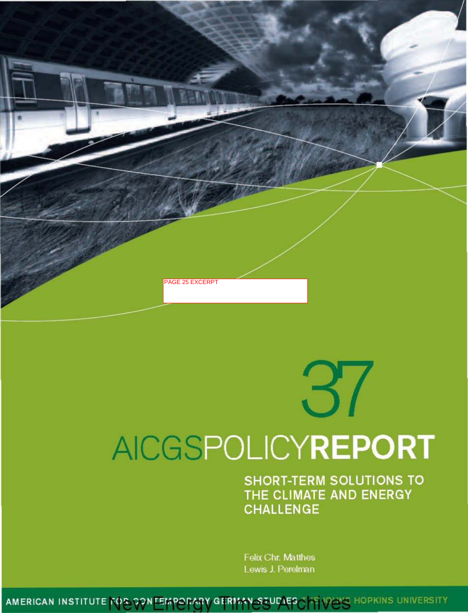

# AICGSPOLICYREPORT

**SHORT-TERM SOLUTIONS TO** THE CLIMATE AND ENERGY **CHALLENGE** 

Felix Chr. Matthes Lewis J. Perelman

AMERICAN INSTITUTE FOR CONFEMPORARY GERMAN STUDIES THE IDENS HOPKINS UNIVERSITY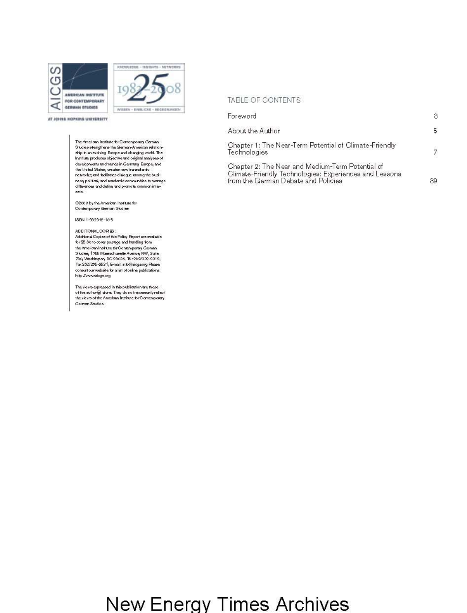



**YTIGESSING GRENON GRIDS TA** 

The American Institute for Contemporary German Studies stengthers the German-American relationship in an evolving Europe and changing world. The Institute produces objective and original analyses of developments and trends in Germany, Europe, and the United States; creates new transatantic networke; and facilitates dialogue among the busineeg political, and academic communities to manage differences and define and promote common intereste.

02008 by the American Institute for Contemporary German Studies

ISBN 1-933942-18-5

#### ADDITIONAL COPIES:

Additional Copies of this Policy Report are available for \$5.00 to cover poetage and handling from the American Institute for Contemporary German Studies, 1755 Massachusetts Avenue, NW, Suite 700 Washington, DC 20096, Tel: 202/332-9312, Fax 202/265-9631, E-mail: info@alogisorg Please consult our website for a list of online publications: http://www.aioga.org

The views expressed in this publication are those of the author(a) alone. They do not necessarily reflect the views of the American Institute for Contemporary German Studies

### TABLE OF CONTENTS

| Foreword                                                                                                                                          | з  |
|---------------------------------------------------------------------------------------------------------------------------------------------------|----|
| About the Author                                                                                                                                  | 5. |
| Chapter 1: The Near-Term Potential of Climate-Friendly<br>Technologies                                                                            | 7  |
| Chapter 2: The Near and Medium-Term Potential of<br>Climate-Friendly Technologies: Experiences and Lessons<br>from the German Debate and Policies | 39 |

## New Energy Times Archives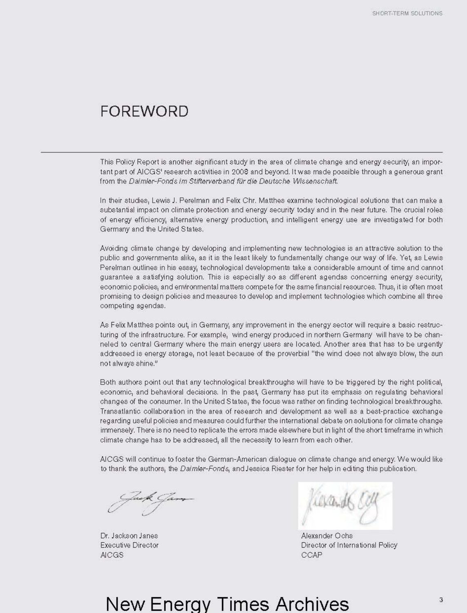### FOREWORD

This Policy Report is another significant study in the area of climate change and energy security, an important part of AICGS' research activities in 2008 and beyond. It was made possible through a generous grant from the Daimler-Fonds im Stifterverband für die Deutsche Wissenschaft.

In their studies, Lewis J. Perelman and Felix Chr. Matthes examine technological solutions that can make a substantial impact on climate protection and energy security today and in the near future. The crucial roles of energy efficiency, alternative energy production, and intelligent energy use are investigated for both Germany and the United States.

Avoiding climate change by developing and implementing new technologies is an attractive solution to the public and governments alike, as it is the least likely to fundamentally change our way of life. Yet, as Lewis Perelman outlines in his essay, technological developments take a considerable amount of time and cannot guarantee a satisfying solution. This is especially so as different agendas concerning energy security, economic policies, and environmental matters compete for the same financial resources. Thus, it is often most promising to design policies and measures to develop and implement technologies which combine all three competing agendas.

Dr. Jackson Janes Executive Director **AICGS** 

As Felix Matthes points out, in Germany, any improvement in the energy sector will require a basic restructuring of the infrastructure. For example, wind energy produced in northern Germany will have to be channeled to central Germany where the main energy users are located. Another area that has to be urgently addressed is energy storage, not least because of the proverbial "the wind does not always blow, the sun not always shine."

Both authors point out that any technological breakthroughs will have to be triggered by the right political, economic, and behavioral decisions. In the past, Germany has put its emphasis on regulating behavioral changes of the consumer. In the United States, the focus was rather on finding technological breakthroughs. Transatlantic collaboration in the area of research and development as well as a best-practice exchange regarding useful policies and measures could further the international debate on solutions for climate change immensely. There is no need to replicate the errors made elsewhere but in light of the short timeframe in which climate change has to be addressed, all the necessity to learn from each other.

AICGS will continue to foster the German-American dialogue on climate change and energy. We would like to thank the authors, the Daimler-Fonds, and Jessica Riester for her help in editing this publication.



# New Energy Times Archives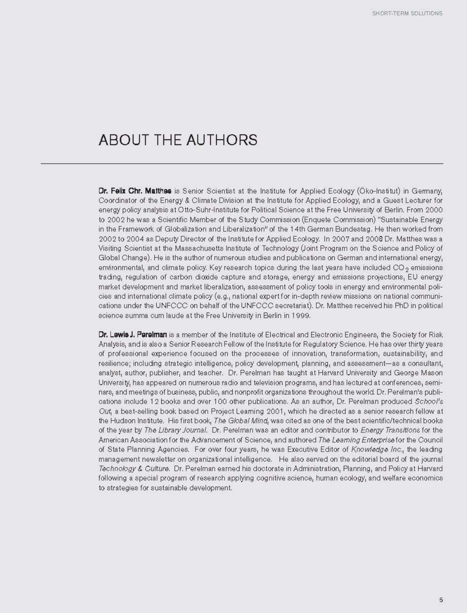### ABOUT THE AUTHORS

Dr. Felix Chr. Matthes is Senior Scientist at the Institute for Applied Ecology (Oko-Institut) in Germany, Coordinator of the Energy & Climate Division at the Institute for Applied Ecology, and a Guest Lecturer for energy policy analysis at Otto-Suhr-Institute for Political Science at the Free University of Berlin. From 2000 to 2002 he was a Scientific Member of the Study Commission (Enquete Commission) "Sustainable Energy in the Framework of Globalization and Liberalization" of the 14th German Bundestag. He then worked from 2002 to 2004 as Deputy Director of the Institute for Applied Ecology. In 2007 and 2008 Dr. Matthes was a Visiting Scientist at the Massachusetts Institute of Technology (Joint Program on the Science and Policy of Global Change). He is the author of numerous studies and publications on German and international energy, environmental, and climate policy. Key research topics during the last years have included CO<sub>2</sub> emissions trading, regulation of carbon dioxide capture and storage, energy and emissions projections, EU energy market development and market liberalization, assessment of policy tools in energy and environmental policies and international climate policy (e.g., national expert for in-depth review missions on national communications under the UNFCCC on behalf of the UNFCCC secretariat). Dr. Matthes received his PhD in political science summa cum laude at the Free University in Berlin in 1999.

**Dr. Lewis J. Perelman** is a member of the Institute of Electrical and Electronic Engineers, the Society for Risk Analysis, and is also a Senior Research Fellow of the Institute for Regulatory Science. He has over thirty years of professional experience focused on the processes of innovation, transformation, sustainability, and resilience; including strategic intelligence, policy development, planning, and assessment-as a consultant, analyst, author, publisher, and teacher. Dr. Perelman has taught at Harvard University and George Mason. University, has appeared on numerous radio and television programs, and has lectured at conferences, seminars, and meetings of business, public, and nonprofit organizations throughout the world. Dr. Perelman's publications include 12 books and over 100 other publications. As an author, Dr. Perelman produced School's Out, a best-selling book based on Project Leaming 2001, which he directed as a senior research fellow at the Hudson Institute. His first book, The Global Mind, was cited as one of the best scientific/technical books of the year by The Library Journal. Dr. Perelman was an editor and contributor to Energy Transitions for the American Association for the Advancement of Science, and authored The Leaming Enterprise for the Council of State Planning Agencies. For over four years, he was Executive Editor of Knowledge Inc., the leading management newsletter on organizational intelligence. He also served on the editorial board of the journal Technology & Culture. Dr. Perelman earned his doctorate in Administration, Planning, and Policy at Harvard following a special program of research applying cognitive science, human ecology, and welfare economics to strategies for sustainable development.